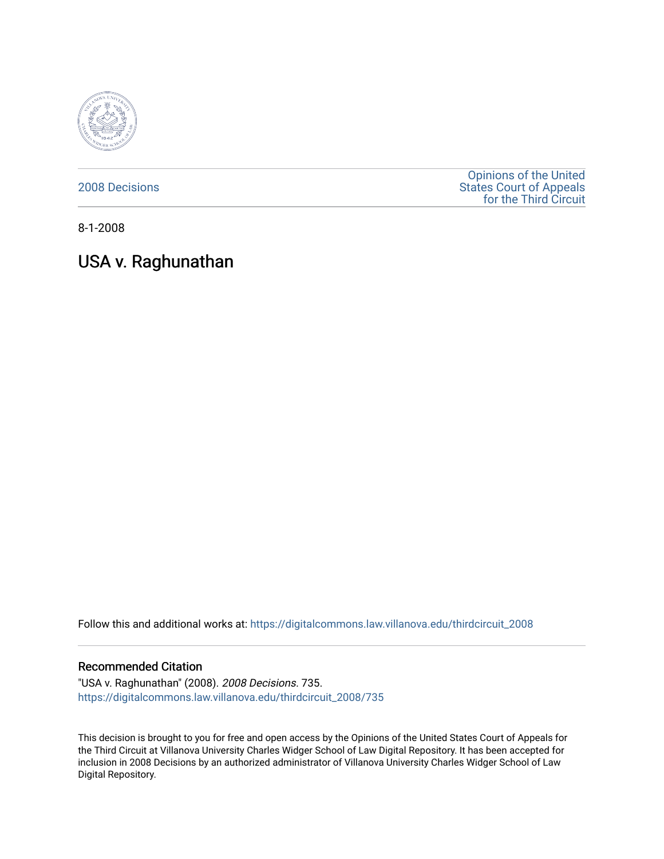

[2008 Decisions](https://digitalcommons.law.villanova.edu/thirdcircuit_2008)

[Opinions of the United](https://digitalcommons.law.villanova.edu/thirdcircuit)  [States Court of Appeals](https://digitalcommons.law.villanova.edu/thirdcircuit)  [for the Third Circuit](https://digitalcommons.law.villanova.edu/thirdcircuit) 

8-1-2008

# USA v. Raghunathan

Follow this and additional works at: [https://digitalcommons.law.villanova.edu/thirdcircuit\\_2008](https://digitalcommons.law.villanova.edu/thirdcircuit_2008?utm_source=digitalcommons.law.villanova.edu%2Fthirdcircuit_2008%2F735&utm_medium=PDF&utm_campaign=PDFCoverPages) 

### Recommended Citation

"USA v. Raghunathan" (2008). 2008 Decisions. 735. [https://digitalcommons.law.villanova.edu/thirdcircuit\\_2008/735](https://digitalcommons.law.villanova.edu/thirdcircuit_2008/735?utm_source=digitalcommons.law.villanova.edu%2Fthirdcircuit_2008%2F735&utm_medium=PDF&utm_campaign=PDFCoverPages)

This decision is brought to you for free and open access by the Opinions of the United States Court of Appeals for the Third Circuit at Villanova University Charles Widger School of Law Digital Repository. It has been accepted for inclusion in 2008 Decisions by an authorized administrator of Villanova University Charles Widger School of Law Digital Repository.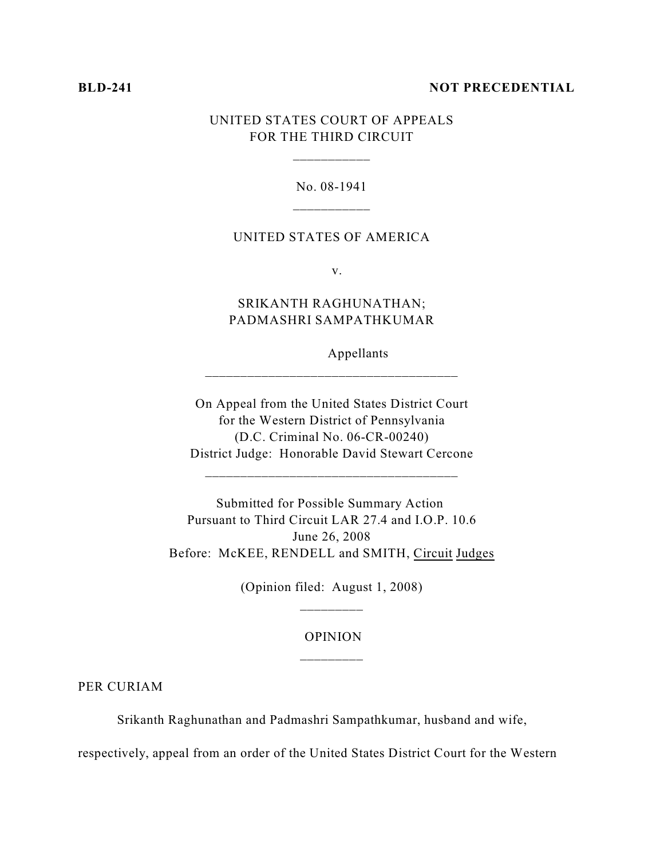#### **BLD-241 NOT PRECEDENTIAL**

## UNITED STATES COURT OF APPEALS FOR THE THIRD CIRCUIT

\_\_\_\_\_\_\_\_\_\_\_

#### No. 08-1941

## UNITED STATES OF AMERICA

v.

SRIKANTH RAGHUNATHAN; PADMASHRI SAMPATHKUMAR

\_\_\_\_\_\_\_\_\_\_\_\_\_\_\_\_\_\_\_\_\_\_\_\_\_\_\_\_\_\_\_\_\_\_\_\_

Appellants

On Appeal from the United States District Court for the Western District of Pennsylvania (D.C. Criminal No. 06-CR-00240) District Judge: Honorable David Stewart Cercone

\_\_\_\_\_\_\_\_\_\_\_\_\_\_\_\_\_\_\_\_\_\_\_\_\_\_\_\_\_\_\_\_\_\_\_\_

Submitted for Possible Summary Action Pursuant to Third Circuit LAR 27.4 and I.O.P. 10.6 June 26, 2008 Before: McKEE, RENDELL and SMITH, Circuit Judges

> (Opinion filed: August 1, 2008) \_\_\_\_\_\_\_\_\_

## OPINION \_\_\_\_\_\_\_\_\_

PER CURIAM

Srikanth Raghunathan and Padmashri Sampathkumar, husband and wife,

respectively, appeal from an order of the United States District Court for the Western